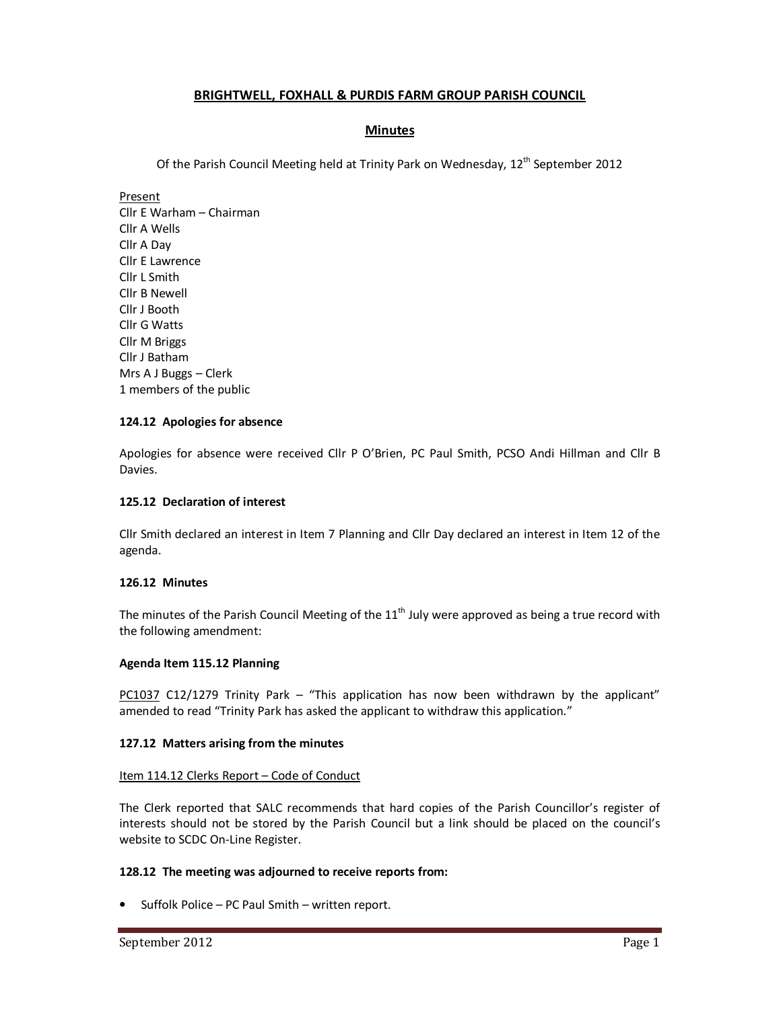# **BRIGHTWELL, FOXHALL & PURDIS FARM GROUP PARISH COUNCIL**

# **Minutes**

Of the Parish Council Meeting held at Trinity Park on Wednesday, 12<sup>th</sup> September 2012

Present Cllr E Warham – Chairman Cllr A Wells Cllr A Day Cllr E Lawrence Cllr L Smith Cllr B Newell Cllr J Booth Cllr G Watts Cllr M Briggs Cllr J Batham Mrs A J Buggs – Clerk 1 members of the public

## **124.12 Apologies for absence**

Apologies for absence were received Cllr P O'Brien, PC Paul Smith, PCSO Andi Hillman and Cllr B Davies.

## **125.12 Declaration of interest**

Cllr Smith declared an interest in Item 7 Planning and Cllr Day declared an interest in Item 12 of the agenda.

### **126.12 Minutes**

The minutes of the Parish Council Meeting of the  $11<sup>th</sup>$  July were approved as being a true record with the following amendment:

### **Agenda Item 115.12 Planning**

PC1037 C12/1279 Trinity Park – "This application has now been withdrawn by the applicant" amended to read "Trinity Park has asked the applicant to withdraw this application."

### **127.12 Matters arising from the minutes**

### Item 114.12 Clerks Report - Code of Conduct

The Clerk reported that SALC recommends that hard copies of the Parish Councillor's register of interests should not be stored by the Parish Council but a link should be placed on the council's website to SCDC On-Line Register.

# **128.12 The meeting was adjourned to receive reports from:**

• Suffolk Police – PC Paul Smith – written report.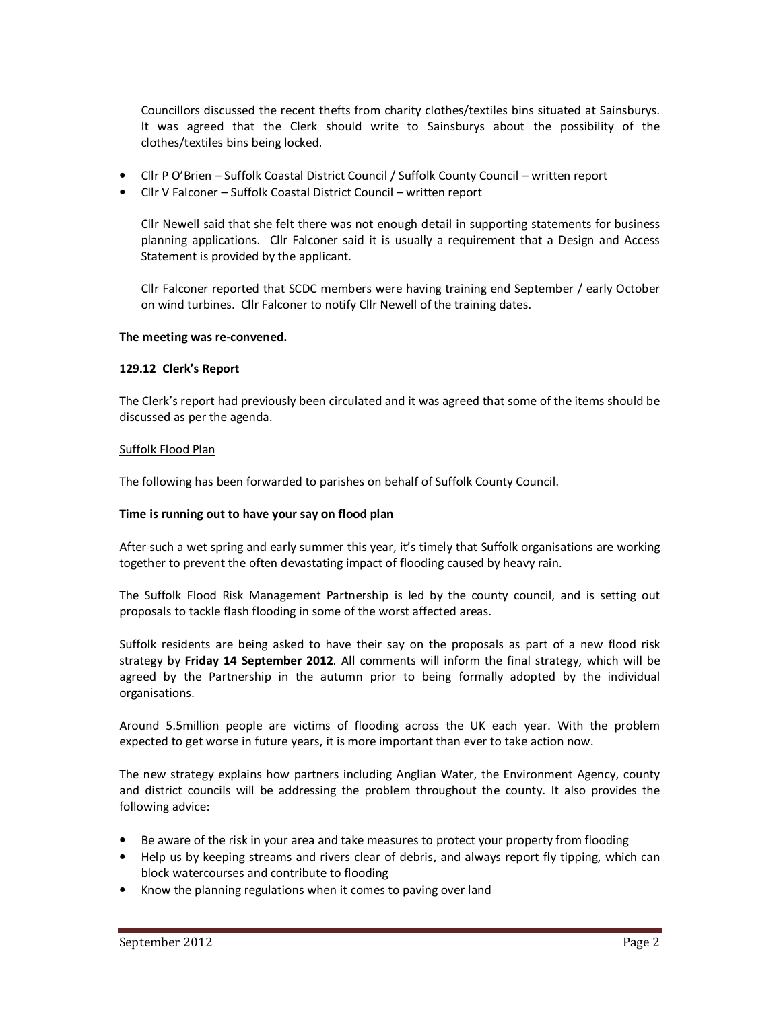Councillors discussed the recent thefts from charity clothes/textiles bins situated at Sainsburys. It was agreed that the Clerk should write to Sainsburys about the possibility of the clothes/textiles bins being locked.

- Cllr P O'Brien Suffolk Coastal District Council / Suffolk County Council written report
- Cllr V Falconer Suffolk Coastal District Council written report

Cllr Newell said that she felt there was not enough detail in supporting statements for business planning applications. Cllr Falconer said it is usually a requirement that a Design and Access Statement is provided by the applicant.

Cllr Falconer reported that SCDC members were having training end September / early October on wind turbines. Cllr Falconer to notify Cllr Newell of the training dates.

#### **The meeting was re-convened.**

#### **129.12 Clerk's Report**

The Clerk's report had previously been circulated and it was agreed that some of the items should be discussed as per the agenda.

#### Suffolk Flood Plan

The following has been forwarded to parishes on behalf of Suffolk County Council.

### **Time is running out to have your say on flood plan**

After such a wet spring and early summer this year, it's timely that Suffolk organisations are working together to prevent the often devastating impact of flooding caused by heavy rain.

The Suffolk Flood Risk Management Partnership is led by the county council, and is setting out proposals to tackle flash flooding in some of the worst affected areas.

Suffolk residents are being asked to have their say on the proposals as part of a new flood risk strategy by **Friday 14 September 2012**. All comments will inform the final strategy, which will be agreed by the Partnership in the autumn prior to being formally adopted by the individual organisations.

Around 5.5million people are victims of flooding across the UK each year. With the problem expected to get worse in future years, it is more important than ever to take action now.

The new strategy explains how partners including Anglian Water, the Environment Agency, county and district councils will be addressing the problem throughout the county. It also provides the following advice:

- Be aware of the risk in your area and take measures to protect your property from flooding
- Help us by keeping streams and rivers clear of debris, and always report fly tipping, which can block watercourses and contribute to flooding
- Know the planning regulations when it comes to paving over land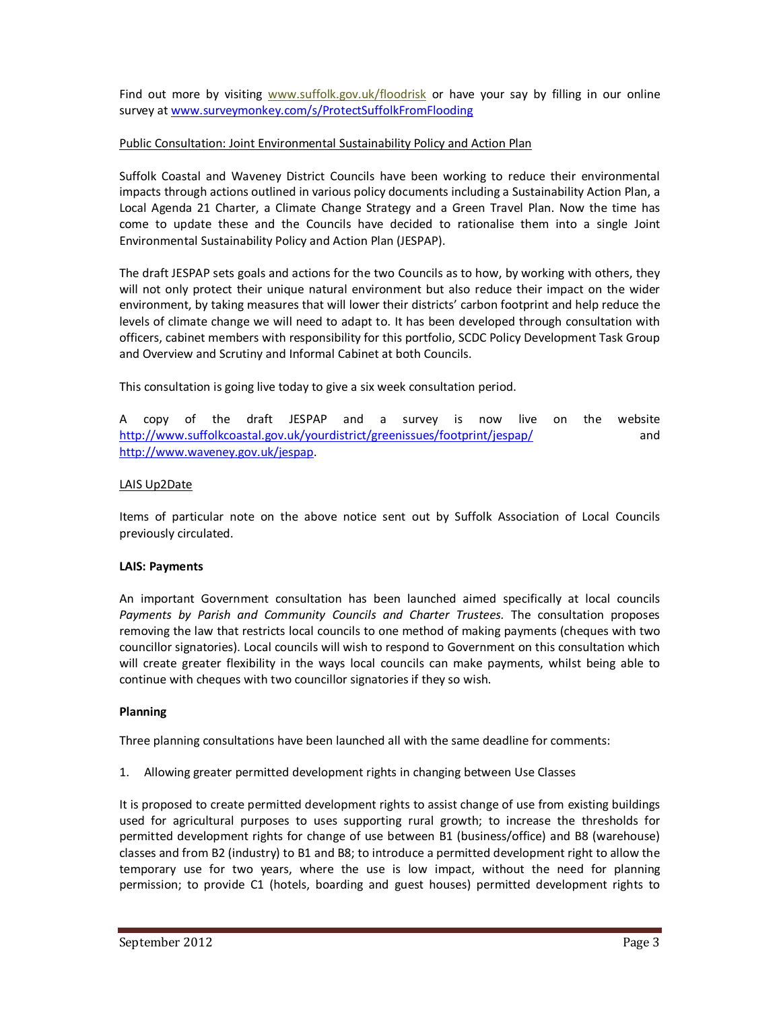Find out more by visiting www.suffolk.gov.uk/floodrisk or have your say by filling in our online survey at www.surveymonkey.com/s/ProtectSuffolkFromFlooding

## Public Consultation: Joint Environmental Sustainability Policy and Action Plan

Suffolk Coastal and Waveney District Councils have been working to reduce their environmental impacts through actions outlined in various policy documents including a Sustainability Action Plan, a Local Agenda 21 Charter, a Climate Change Strategy and a Green Travel Plan. Now the time has come to update these and the Councils have decided to rationalise them into a single Joint Environmental Sustainability Policy and Action Plan (JESPAP).

The draft JESPAP sets goals and actions for the two Councils as to how, by working with others, they will not only protect their unique natural environment but also reduce their impact on the wider environment, by taking measures that will lower their districts' carbon footprint and help reduce the levels of climate change we will need to adapt to. It has been developed through consultation with officers, cabinet members with responsibility for this portfolio, SCDC Policy Development Task Group and Overview and Scrutiny and Informal Cabinet at both Councils.

This consultation is going live today to give a six week consultation period.

A copy of the draft JESPAP and a survey is now live on the website http://www.suffolkcoastal.gov.uk/yourdistrict/greenissues/footprint/jespap/ and http://www.waveney.gov.uk/jespap.

## LAIS Up2Date

Items of particular note on the above notice sent out by Suffolk Association of Local Councils previously circulated.

### **LAIS: Payments**

An important Government consultation has been launched aimed specifically at local councils *Payments by Parish and Community Councils and Charter Trustees.* The consultation proposes removing the law that restricts local councils to one method of making payments (cheques with two councillor signatories). Local councils will wish to respond to Government on this consultation which will create greater flexibility in the ways local councils can make payments, whilst being able to continue with cheques with two councillor signatories if they so wish.

### **Planning**

Three planning consultations have been launched all with the same deadline for comments:

1. Allowing greater permitted development rights in changing between Use Classes

It is proposed to create permitted development rights to assist change of use from existing buildings used for agricultural purposes to uses supporting rural growth; to increase the thresholds for permitted development rights for change of use between B1 (business/office) and B8 (warehouse) classes and from B2 (industry) to B1 and B8; to introduce a permitted development right to allow the temporary use for two years, where the use is low impact, without the need for planning permission; to provide C1 (hotels, boarding and guest houses) permitted development rights to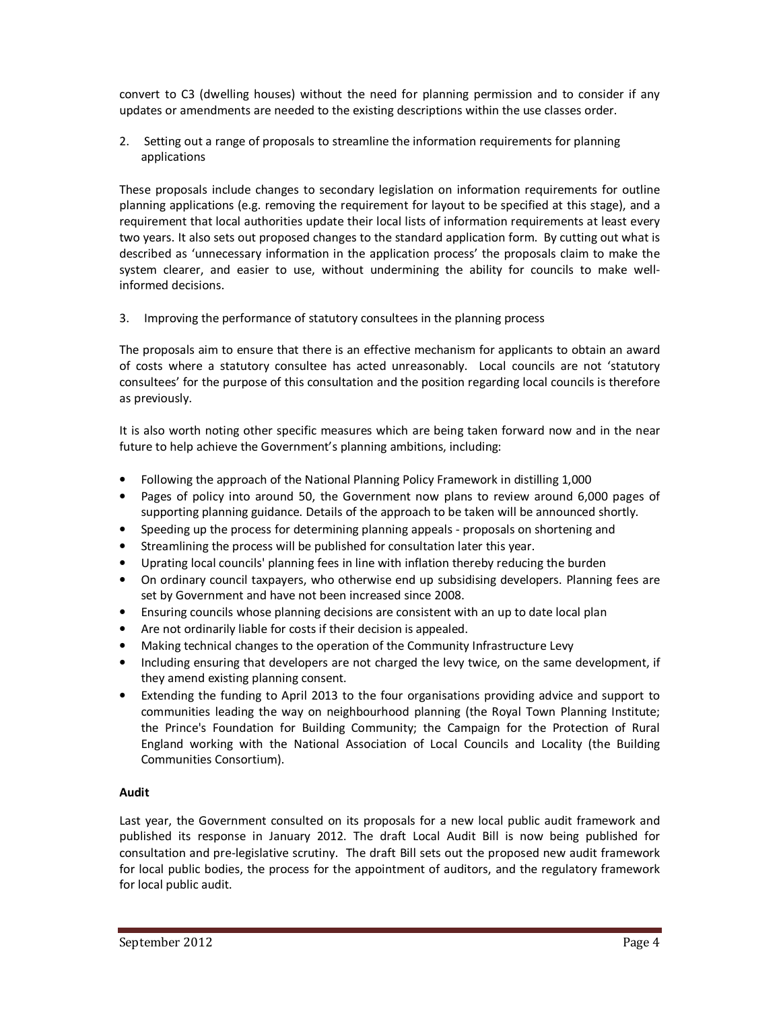convert to C3 (dwelling houses) without the need for planning permission and to consider if any updates or amendments are needed to the existing descriptions within the use classes order.

2. Setting out a range of proposals to streamline the information requirements for planning applications

These proposals include changes to secondary legislation on information requirements for outline planning applications (e.g. removing the requirement for layout to be specified at this stage), and a requirement that local authorities update their local lists of information requirements at least every two years. It also sets out proposed changes to the standard application form. By cutting out what is described as 'unnecessary information in the application process' the proposals claim to make the system clearer, and easier to use, without undermining the ability for councils to make wellinformed decisions.

3. Improving the performance of statutory consultees in the planning process

The proposals aim to ensure that there is an effective mechanism for applicants to obtain an award of costs where a statutory consultee has acted unreasonably. Local councils are not 'statutory consultees' for the purpose of this consultation and the position regarding local councils is therefore as previously.

It is also worth noting other specific measures which are being taken forward now and in the near future to help achieve the Government's planning ambitions, including:

- Following the approach of the National Planning Policy Framework in distilling 1,000
- Pages of policy into around 50, the Government now plans to review around 6,000 pages of supporting planning guidance. Details of the approach to be taken will be announced shortly.
- Speeding up the process for determining planning appeals proposals on shortening and
- Streamlining the process will be published for consultation later this year.
- Uprating local councils' planning fees in line with inflation thereby reducing the burden
- On ordinary council taxpayers, who otherwise end up subsidising developers. Planning fees are set by Government and have not been increased since 2008.
- Ensuring councils whose planning decisions are consistent with an up to date local plan
- Are not ordinarily liable for costs if their decision is appealed.
- Making technical changes to the operation of the Community Infrastructure Levy
- Including ensuring that developers are not charged the levy twice, on the same development, if they amend existing planning consent.
- Extending the funding to April 2013 to the four organisations providing advice and support to communities leading the way on neighbourhood planning (the Royal Town Planning Institute; the Prince's Foundation for Building Community; the Campaign for the Protection of Rural England working with the National Association of Local Councils and Locality (the Building Communities Consortium).

# **Audit**

Last year, the Government consulted on its proposals for a new local public audit framework and published its response in January 2012. The draft Local Audit Bill is now being published for consultation and pre-legislative scrutiny. The draft Bill sets out the proposed new audit framework for local public bodies, the process for the appointment of auditors, and the regulatory framework for local public audit.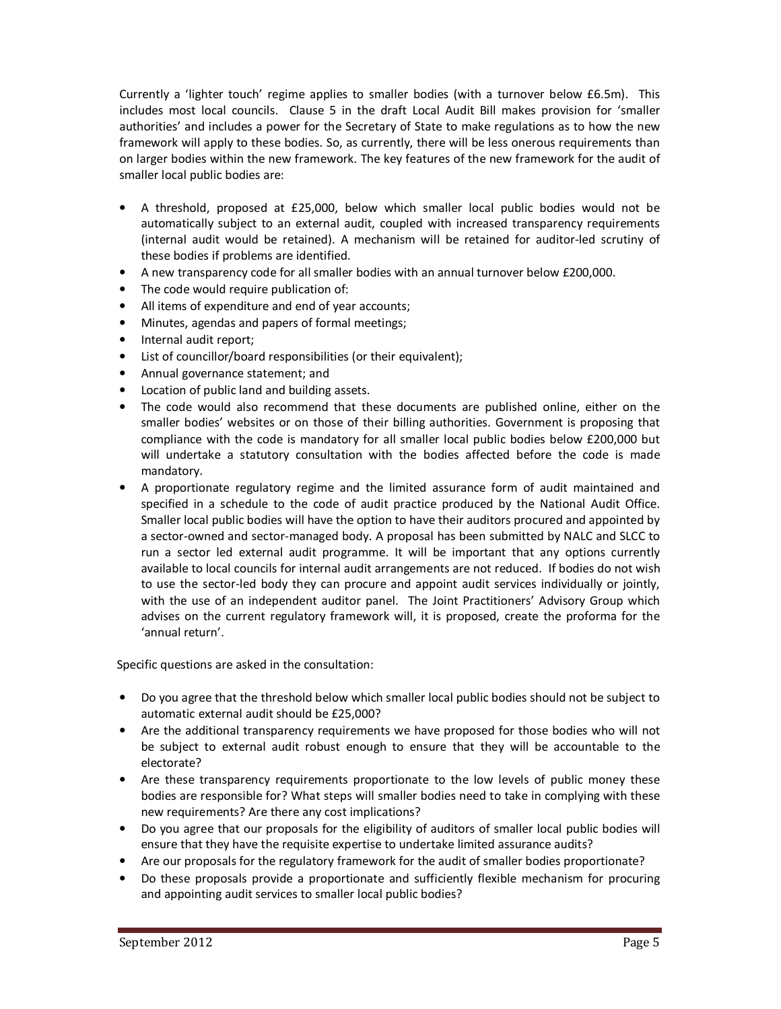Currently a 'lighter touch' regime applies to smaller bodies (with a turnover below £6.5m). This includes most local councils. Clause 5 in the draft Local Audit Bill makes provision for 'smaller authorities' and includes a power for the Secretary of State to make regulations as to how the new framework will apply to these bodies. So, as currently, there will be less onerous requirements than on larger bodies within the new framework. The key features of the new framework for the audit of smaller local public bodies are:

- A threshold, proposed at £25,000, below which smaller local public bodies would not be automatically subject to an external audit, coupled with increased transparency requirements (internal audit would be retained). A mechanism will be retained for auditor-led scrutiny of these bodies if problems are identified.
- A new transparency code for all smaller bodies with an annual turnover below £200,000.
- The code would require publication of:
- All items of expenditure and end of year accounts;
- Minutes, agendas and papers of formal meetings;
- Internal audit report;
- List of councillor/board responsibilities (or their equivalent);
- Annual governance statement; and
- Location of public land and building assets.
- The code would also recommend that these documents are published online, either on the smaller bodies' websites or on those of their billing authorities. Government is proposing that compliance with the code is mandatory for all smaller local public bodies below £200,000 but will undertake a statutory consultation with the bodies affected before the code is made mandatory.
- A proportionate regulatory regime and the limited assurance form of audit maintained and specified in a schedule to the code of audit practice produced by the National Audit Office. Smaller local public bodies will have the option to have their auditors procured and appointed by a sector-owned and sector-managed body. A proposal has been submitted by NALC and SLCC to run a sector led external audit programme. It will be important that any options currently available to local councils for internal audit arrangements are not reduced. If bodies do not wish to use the sector-led body they can procure and appoint audit services individually or jointly, with the use of an independent auditor panel. The Joint Practitioners' Advisory Group which advises on the current regulatory framework will, it is proposed, create the proforma for the 'annual return'.

Specific questions are asked in the consultation:

- Do you agree that the threshold below which smaller local public bodies should not be subject to automatic external audit should be £25,000?
- Are the additional transparency requirements we have proposed for those bodies who will not be subject to external audit robust enough to ensure that they will be accountable to the electorate?
- Are these transparency requirements proportionate to the low levels of public money these bodies are responsible for? What steps will smaller bodies need to take in complying with these new requirements? Are there any cost implications?
- Do you agree that our proposals for the eligibility of auditors of smaller local public bodies will ensure that they have the requisite expertise to undertake limited assurance audits?
- Are our proposals for the regulatory framework for the audit of smaller bodies proportionate?
- Do these proposals provide a proportionate and sufficiently flexible mechanism for procuring and appointing audit services to smaller local public bodies?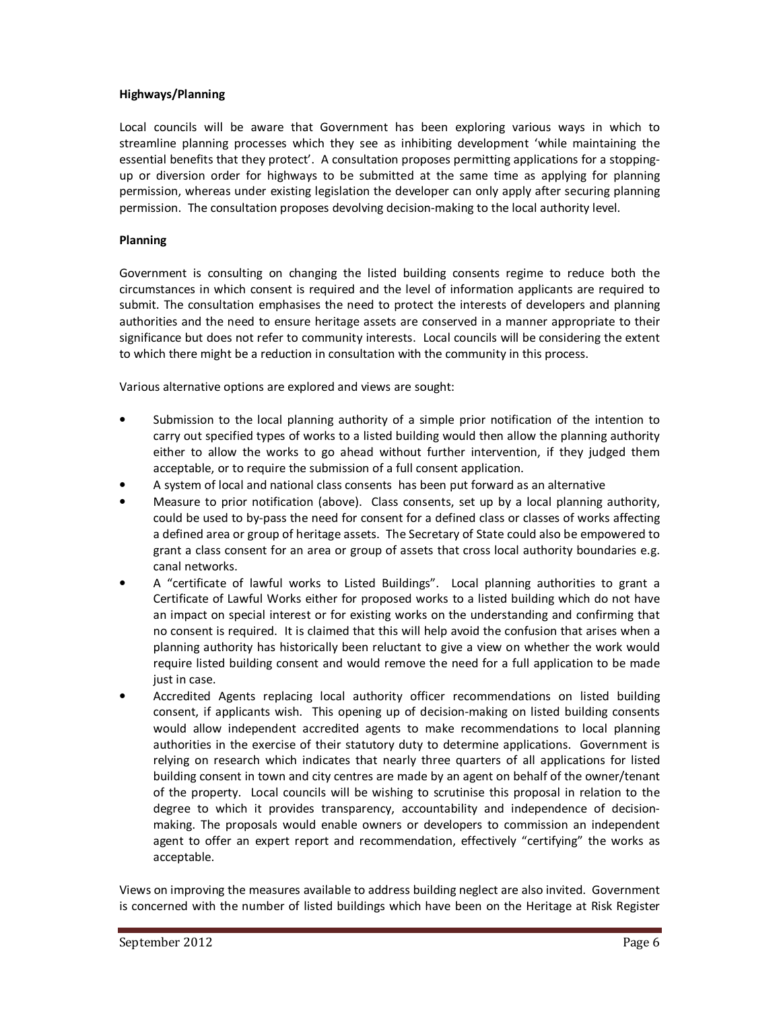### **Highways/Planning**

Local councils will be aware that Government has been exploring various ways in which to streamline planning processes which they see as inhibiting development 'while maintaining the essential benefits that they protect'. A consultation proposes permitting applications for a stoppingup or diversion order for highways to be submitted at the same time as applying for planning permission, whereas under existing legislation the developer can only apply after securing planning permission. The consultation proposes devolving decision-making to the local authority level.

## **Planning**

Government is consulting on changing the listed building consents regime to reduce both the circumstances in which consent is required and the level of information applicants are required to submit. The consultation emphasises the need to protect the interests of developers and planning authorities and the need to ensure heritage assets are conserved in a manner appropriate to their significance but does not refer to community interests. Local councils will be considering the extent to which there might be a reduction in consultation with the community in this process.

Various alternative options are explored and views are sought:

- Submission to the local planning authority of a simple prior notification of the intention to carry out specified types of works to a listed building would then allow the planning authority either to allow the works to go ahead without further intervention, if they judged them acceptable, or to require the submission of a full consent application.
- A system of local and national class consents has been put forward as an alternative
- Measure to prior notification (above). Class consents, set up by a local planning authority, could be used to by-pass the need for consent for a defined class or classes of works affecting a defined area or group of heritage assets. The Secretary of State could also be empowered to grant a class consent for an area or group of assets that cross local authority boundaries e.g. canal networks.
- A "certificate of lawful works to Listed Buildings". Local planning authorities to grant a Certificate of Lawful Works either for proposed works to a listed building which do not have an impact on special interest or for existing works on the understanding and confirming that no consent is required. It is claimed that this will help avoid the confusion that arises when a planning authority has historically been reluctant to give a view on whether the work would require listed building consent and would remove the need for a full application to be made just in case.
- Accredited Agents replacing local authority officer recommendations on listed building consent, if applicants wish. This opening up of decision-making on listed building consents would allow independent accredited agents to make recommendations to local planning authorities in the exercise of their statutory duty to determine applications. Government is relying on research which indicates that nearly three quarters of all applications for listed building consent in town and city centres are made by an agent on behalf of the owner/tenant of the property. Local councils will be wishing to scrutinise this proposal in relation to the degree to which it provides transparency, accountability and independence of decisionmaking. The proposals would enable owners or developers to commission an independent agent to offer an expert report and recommendation, effectively "certifying" the works as acceptable.

Views on improving the measures available to address building neglect are also invited. Government is concerned with the number of listed buildings which have been on the Heritage at Risk Register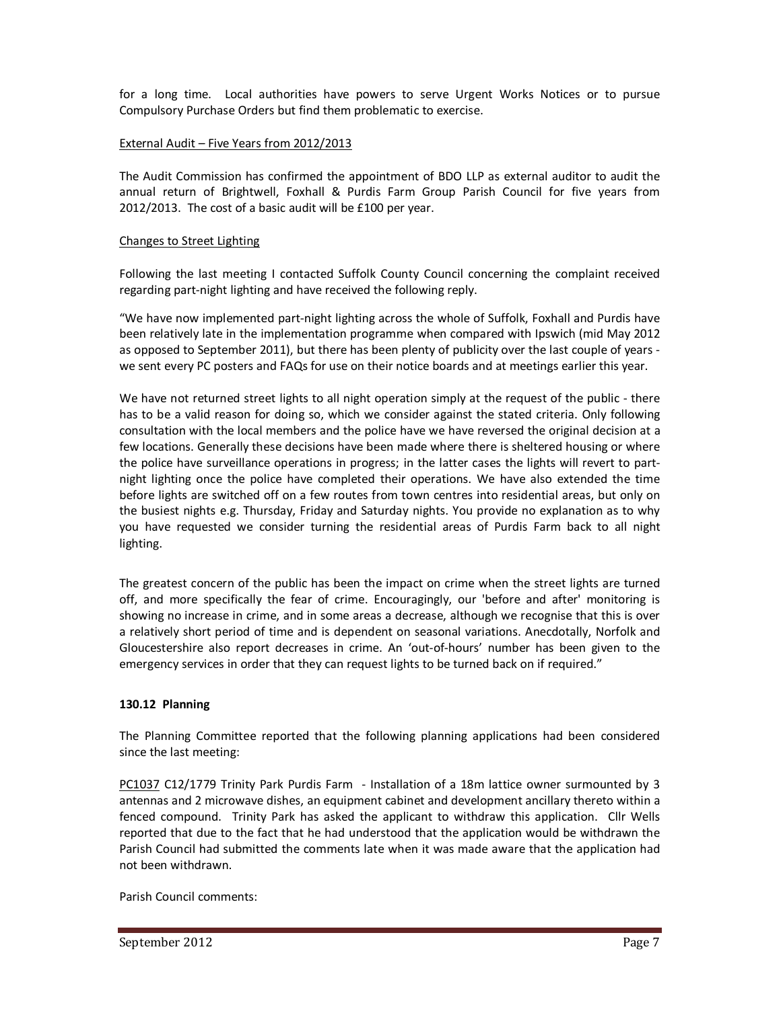for a long time. Local authorities have powers to serve Urgent Works Notices or to pursue Compulsory Purchase Orders but find them problematic to exercise.

## External Audit – Five Years from 2012/2013

The Audit Commission has confirmed the appointment of BDO LLP as external auditor to audit the annual return of Brightwell, Foxhall & Purdis Farm Group Parish Council for five years from 2012/2013. The cost of a basic audit will be £100 per year.

### Changes to Street Lighting

Following the last meeting I contacted Suffolk County Council concerning the complaint received regarding part-night lighting and have received the following reply.

"We have now implemented part-night lighting across the whole of Suffolk, Foxhall and Purdis have been relatively late in the implementation programme when compared with Ipswich (mid May 2012 as opposed to September 2011), but there has been plenty of publicity over the last couple of years we sent every PC posters and FAQs for use on their notice boards and at meetings earlier this year.

We have not returned street lights to all night operation simply at the request of the public - there has to be a valid reason for doing so, which we consider against the stated criteria. Only following consultation with the local members and the police have we have reversed the original decision at a few locations. Generally these decisions have been made where there is sheltered housing or where the police have surveillance operations in progress; in the latter cases the lights will revert to partnight lighting once the police have completed their operations. We have also extended the time before lights are switched off on a few routes from town centres into residential areas, but only on the busiest nights e.g. Thursday, Friday and Saturday nights. You provide no explanation as to why you have requested we consider turning the residential areas of Purdis Farm back to all night lighting.

The greatest concern of the public has been the impact on crime when the street lights are turned off, and more specifically the fear of crime. Encouragingly, our 'before and after' monitoring is showing no increase in crime, and in some areas a decrease, although we recognise that this is over a relatively short period of time and is dependent on seasonal variations. Anecdotally, Norfolk and Gloucestershire also report decreases in crime. An 'out-of-hours' number has been given to the emergency services in order that they can request lights to be turned back on if required."

# **130.12 Planning**

The Planning Committee reported that the following planning applications had been considered since the last meeting:

PC1037 C12/1779 Trinity Park Purdis Farm - Installation of a 18m lattice owner surmounted by 3 antennas and 2 microwave dishes, an equipment cabinet and development ancillary thereto within a fenced compound. Trinity Park has asked the applicant to withdraw this application. Cllr Wells reported that due to the fact that he had understood that the application would be withdrawn the Parish Council had submitted the comments late when it was made aware that the application had not been withdrawn.

Parish Council comments: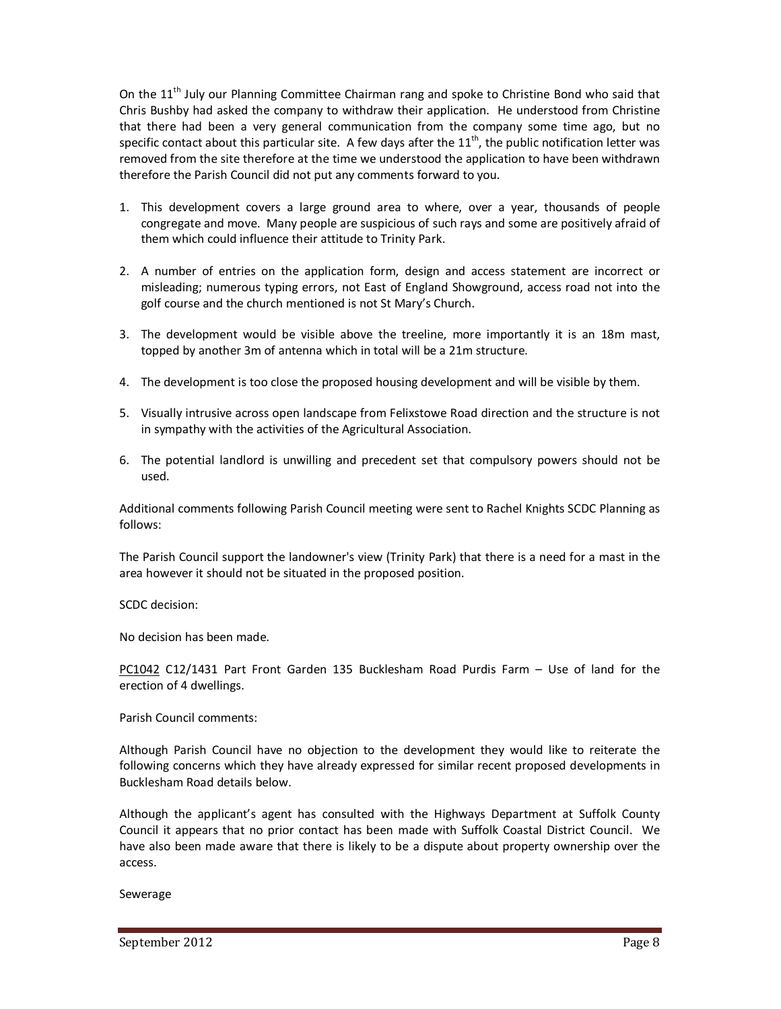On the 11<sup>th</sup> July our Planning Committee Chairman rang and spoke to Christine Bond who said that Chris Bushby had asked the company to withdraw their application. He understood from Christine that there had been a very general communication from the company some time ago, but no specific contact about this particular site. A few days after the  $11<sup>th</sup>$ , the public notification letter was removed from the site therefore at the time we understood the application to have been withdrawn therefore the Parish Council did not put any comments forward to you.

- 1. This development covers a large ground area to where, over a year, thousands of people congregate and move. Many people are suspicious of such rays and some are positively afraid of them which could influence their attitude to Trinity Park.
- 2. A number of entries on the application form, design and access statement are incorrect or misleading; numerous typing errors, not East of England Showground, access road not into the golf course and the church mentioned is not St Mary's Church.
- 3. The development would be visible above the treeline, more importantly it is an 18m mast, topped by another 3m of antenna which in total will be a 21m structure.
- 4. The development is too close the proposed housing development and will be visible by them.
- 5. Visually intrusive across open landscape from Felixstowe Road direction and the structure is not in sympathy with the activities of the Agricultural Association.
- 6. The potential landlord is unwilling and precedent set that compulsory powers should not be used.

Additional comments following Parish Council meeting were sent to Rachel Knights SCDC Planning as follows:

The Parish Council support the landowner's view (Trinity Park) that there is a need for a mast in the area however it should not be situated in the proposed position.

SCDC decision:

No decision has been made.

PC1042 C12/1431 Part Front Garden 135 Bucklesham Road Purdis Farm – Use of land for the erection of 4 dwellings.

Parish Council comments:

Although Parish Council have no objection to the development they would like to reiterate the following concerns which they have already expressed for similar recent proposed developments in Bucklesham Road details below.

Although the applicant's agent has consulted with the Highways Department at Suffolk County Council it appears that no prior contact has been made with Suffolk Coastal District Council. We have also been made aware that there is likely to be a dispute about property ownership over the access.

Sewerage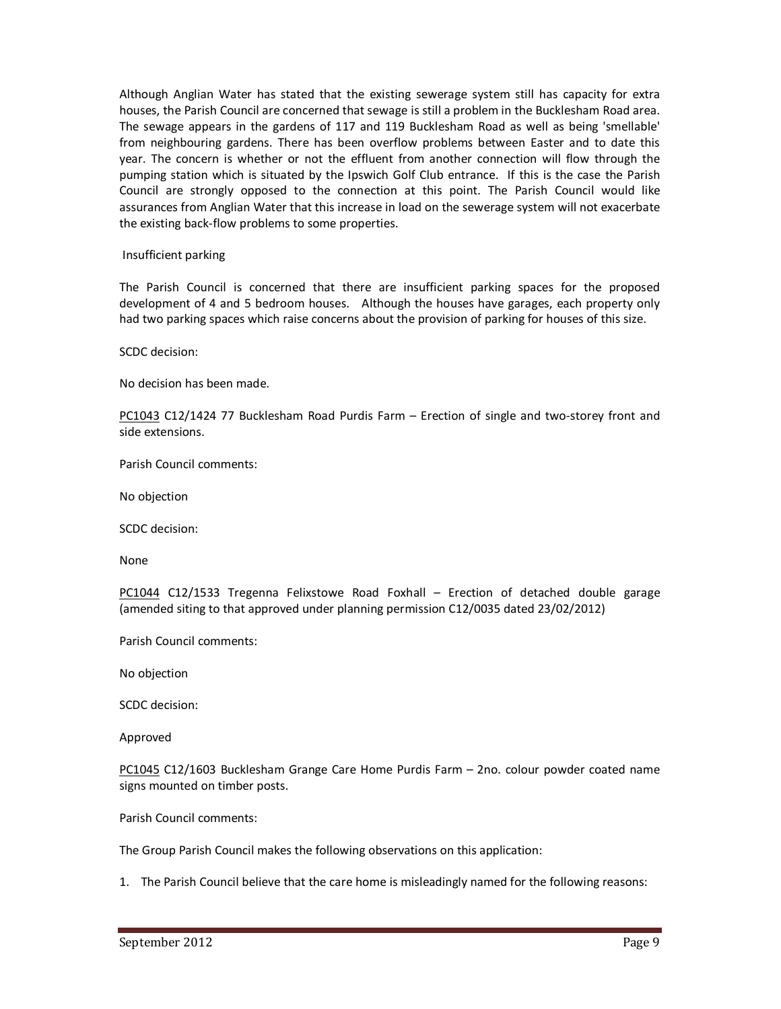Although Anglian Water has stated that the existing sewerage system still has capacity for extra houses, the Parish Council are concerned that sewage is still a problem in the Bucklesham Road area. The sewage appears in the gardens of 117 and 119 Bucklesham Road as well as being 'smellable' from neighbouring gardens. There has been overflow problems between Easter and to date this year. The concern is whether or not the effluent from another connection will flow through the pumping station which is situated by the Ipswich Golf Club entrance. If this is the case the Parish Council are strongly opposed to the connection at this point. The Parish Council would like assurances from Anglian Water that this increase in load on the sewerage system will not exacerbate the existing back-flow problems to some properties.

Insufficient parking

The Parish Council is concerned that there are insufficient parking spaces for the proposed development of 4 and 5 bedroom houses. Although the houses have garages, each property only had two parking spaces which raise concerns about the provision of parking for houses of this size.

SCDC decision:

No decision has been made.

PC1043 C12/1424 77 Bucklesham Road Purdis Farm – Erection of single and two-storey front and side extensions.

Parish Council comments:

No objection

SCDC decision:

None

PC1044 C12/1533 Tregenna Felixstowe Road Foxhall – Erection of detached double garage (amended siting to that approved under planning permission C12/0035 dated 23/02/2012)

Parish Council comments:

No objection

SCDC decision:

Approved

PC1045 C12/1603 Bucklesham Grange Care Home Purdis Farm – 2no. colour powder coated name signs mounted on timber posts.

Parish Council comments:

The Group Parish Council makes the following observations on this application:

1. The Parish Council believe that the care home is misleadingly named for the following reasons: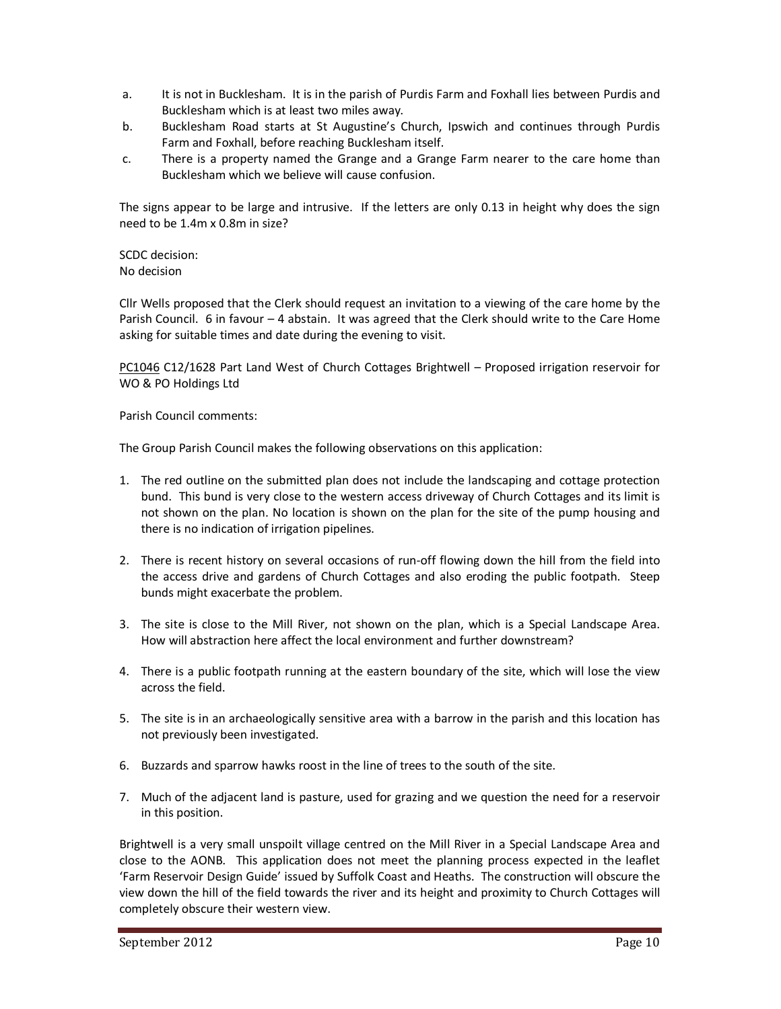- a. It is not in Bucklesham. It is in the parish of Purdis Farm and Foxhall lies between Purdis and Bucklesham which is at least two miles away.
- b. Bucklesham Road starts at St Augustine's Church, Ipswich and continues through Purdis Farm and Foxhall, before reaching Bucklesham itself.
- c. There is a property named the Grange and a Grange Farm nearer to the care home than Bucklesham which we believe will cause confusion.

The signs appear to be large and intrusive. If the letters are only 0.13 in height why does the sign need to be 1.4m x 0.8m in size?

SCDC decision: No decision

Cllr Wells proposed that the Clerk should request an invitation to a viewing of the care home by the Parish Council. 6 in favour – 4 abstain. It was agreed that the Clerk should write to the Care Home asking for suitable times and date during the evening to visit.

PC1046 C12/1628 Part Land West of Church Cottages Brightwell – Proposed irrigation reservoir for WO & PO Holdings Ltd

Parish Council comments:

The Group Parish Council makes the following observations on this application:

- 1. The red outline on the submitted plan does not include the landscaping and cottage protection bund. This bund is very close to the western access driveway of Church Cottages and its limit is not shown on the plan. No location is shown on the plan for the site of the pump housing and there is no indication of irrigation pipelines.
- 2. There is recent history on several occasions of run-off flowing down the hill from the field into the access drive and gardens of Church Cottages and also eroding the public footpath. Steep bunds might exacerbate the problem.
- 3. The site is close to the Mill River, not shown on the plan, which is a Special Landscape Area. How will abstraction here affect the local environment and further downstream?
- 4. There is a public footpath running at the eastern boundary of the site, which will lose the view across the field.
- 5. The site is in an archaeologically sensitive area with a barrow in the parish and this location has not previously been investigated.
- 6. Buzzards and sparrow hawks roost in the line of trees to the south of the site.
- 7. Much of the adjacent land is pasture, used for grazing and we question the need for a reservoir in this position.

Brightwell is a very small unspoilt village centred on the Mill River in a Special Landscape Area and close to the AONB. This application does not meet the planning process expected in the leaflet 'Farm Reservoir Design Guide' issued by Suffolk Coast and Heaths. The construction will obscure the view down the hill of the field towards the river and its height and proximity to Church Cottages will completely obscure their western view.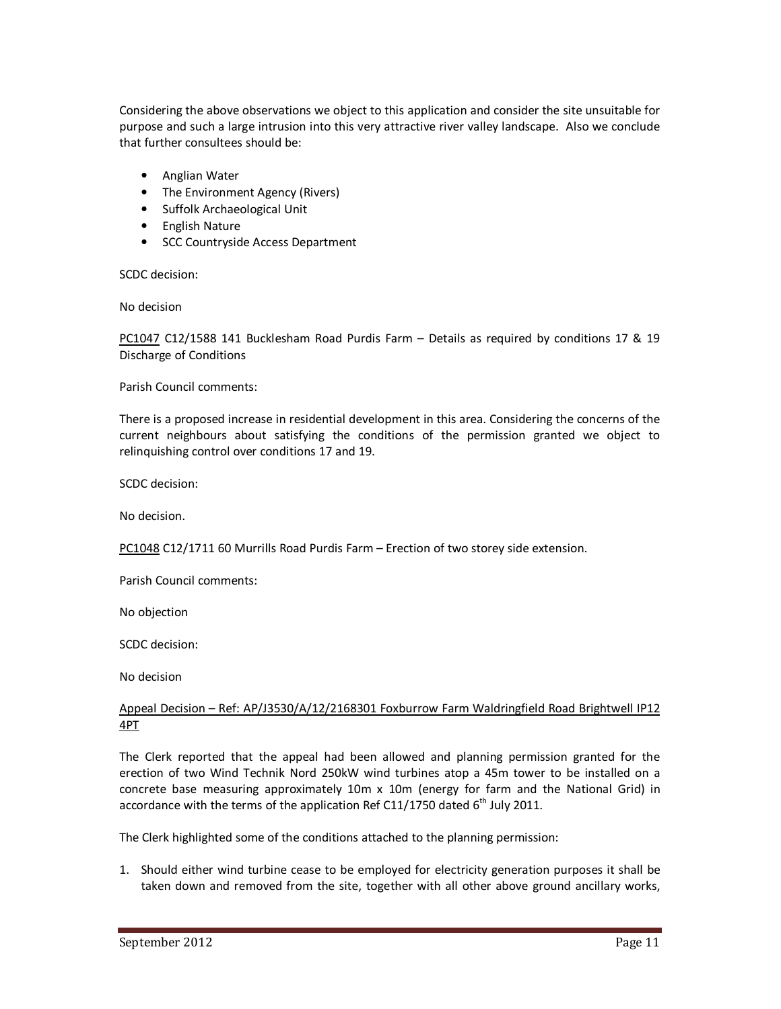Considering the above observations we object to this application and consider the site unsuitable for purpose and such a large intrusion into this very attractive river valley landscape. Also we conclude that further consultees should be:

- Anglian Water
- The Environment Agency (Rivers)
- Suffolk Archaeological Unit
- English Nature
- SCC Countryside Access Department

SCDC decision:

No decision

PC1047 C12/1588 141 Bucklesham Road Purdis Farm – Details as required by conditions 17 & 19 Discharge of Conditions

Parish Council comments:

There is a proposed increase in residential development in this area. Considering the concerns of the current neighbours about satisfying the conditions of the permission granted we object to relinquishing control over conditions 17 and 19.

SCDC decision:

No decision.

PC1048 C12/1711 60 Murrills Road Purdis Farm – Erection of two storey side extension.

Parish Council comments:

No objection

SCDC decision:

No decision

# Appeal Decision – Ref: AP/J3530/A/12/2168301 Foxburrow Farm Waldringfield Road Brightwell IP12 4PT

The Clerk reported that the appeal had been allowed and planning permission granted for the erection of two Wind Technik Nord 250kW wind turbines atop a 45m tower to be installed on a concrete base measuring approximately 10m x 10m (energy for farm and the National Grid) in accordance with the terms of the application Ref C11/1750 dated  $6<sup>th</sup>$  July 2011.

The Clerk highlighted some of the conditions attached to the planning permission:

1. Should either wind turbine cease to be employed for electricity generation purposes it shall be taken down and removed from the site, together with all other above ground ancillary works,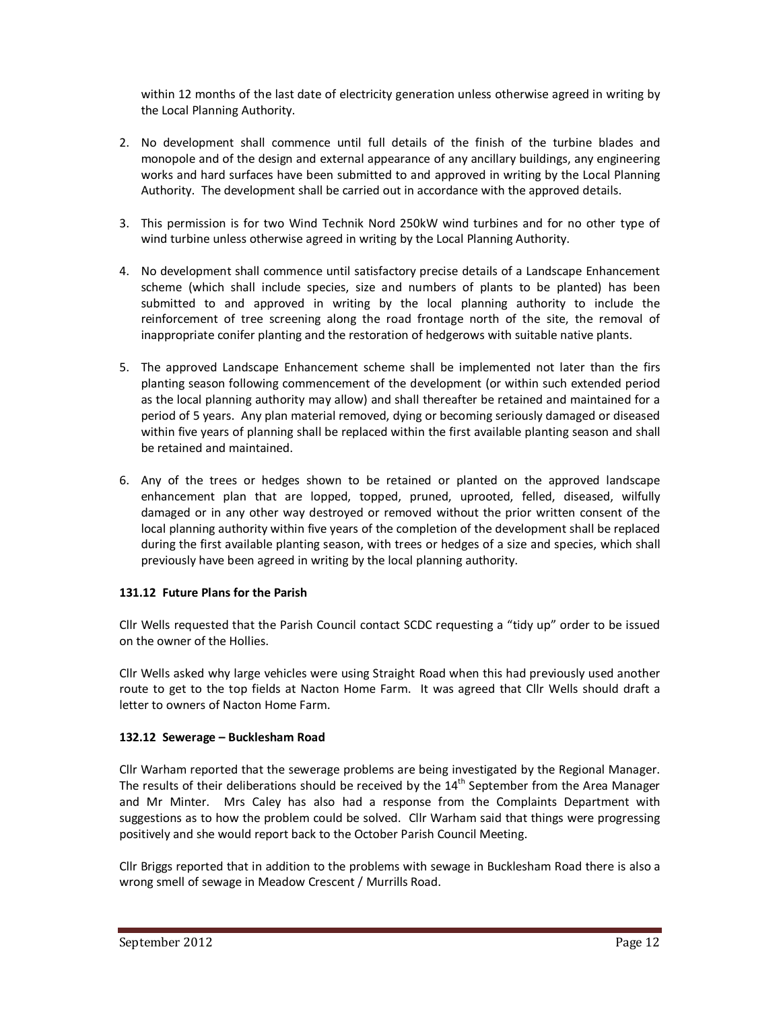within 12 months of the last date of electricity generation unless otherwise agreed in writing by the Local Planning Authority.

- 2. No development shall commence until full details of the finish of the turbine blades and monopole and of the design and external appearance of any ancillary buildings, any engineering works and hard surfaces have been submitted to and approved in writing by the Local Planning Authority. The development shall be carried out in accordance with the approved details.
- 3. This permission is for two Wind Technik Nord 250kW wind turbines and for no other type of wind turbine unless otherwise agreed in writing by the Local Planning Authority.
- 4. No development shall commence until satisfactory precise details of a Landscape Enhancement scheme (which shall include species, size and numbers of plants to be planted) has been submitted to and approved in writing by the local planning authority to include the reinforcement of tree screening along the road frontage north of the site, the removal of inappropriate conifer planting and the restoration of hedgerows with suitable native plants.
- 5. The approved Landscape Enhancement scheme shall be implemented not later than the firs planting season following commencement of the development (or within such extended period as the local planning authority may allow) and shall thereafter be retained and maintained for a period of 5 years. Any plan material removed, dying or becoming seriously damaged or diseased within five years of planning shall be replaced within the first available planting season and shall be retained and maintained.
- 6. Any of the trees or hedges shown to be retained or planted on the approved landscape enhancement plan that are lopped, topped, pruned, uprooted, felled, diseased, wilfully damaged or in any other way destroyed or removed without the prior written consent of the local planning authority within five years of the completion of the development shall be replaced during the first available planting season, with trees or hedges of a size and species, which shall previously have been agreed in writing by the local planning authority.

# **131.12 Future Plans for the Parish**

Cllr Wells requested that the Parish Council contact SCDC requesting a "tidy up" order to be issued on the owner of the Hollies.

Cllr Wells asked why large vehicles were using Straight Road when this had previously used another route to get to the top fields at Nacton Home Farm. It was agreed that Cllr Wells should draft a letter to owners of Nacton Home Farm.

# **132.12 Sewerage – Bucklesham Road**

Cllr Warham reported that the sewerage problems are being investigated by the Regional Manager. The results of their deliberations should be received by the  $14<sup>th</sup>$  September from the Area Manager and Mr Minter. Mrs Caley has also had a response from the Complaints Department with suggestions as to how the problem could be solved. Cllr Warham said that things were progressing positively and she would report back to the October Parish Council Meeting.

Cllr Briggs reported that in addition to the problems with sewage in Bucklesham Road there is also a wrong smell of sewage in Meadow Crescent / Murrills Road.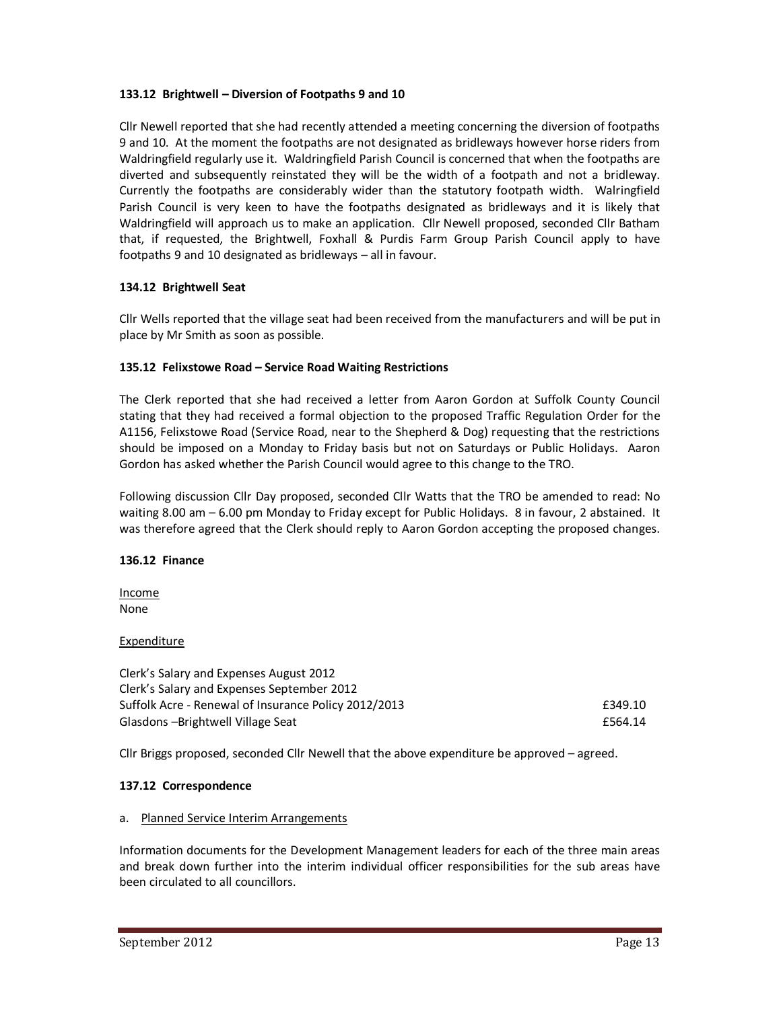# **133.12 Brightwell – Diversion of Footpaths 9 and 10**

Cllr Newell reported that she had recently attended a meeting concerning the diversion of footpaths 9 and 10. At the moment the footpaths are not designated as bridleways however horse riders from Waldringfield regularly use it. Waldringfield Parish Council is concerned that when the footpaths are diverted and subsequently reinstated they will be the width of a footpath and not a bridleway. Currently the footpaths are considerably wider than the statutory footpath width. Walringfield Parish Council is very keen to have the footpaths designated as bridleways and it is likely that Waldringfield will approach us to make an application. Cllr Newell proposed, seconded Cllr Batham that, if requested, the Brightwell, Foxhall & Purdis Farm Group Parish Council apply to have footpaths 9 and 10 designated as bridleways – all in favour.

## **134.12 Brightwell Seat**

Cllr Wells reported that the village seat had been received from the manufacturers and will be put in place by Mr Smith as soon as possible.

## **135.12 Felixstowe Road – Service Road Waiting Restrictions**

The Clerk reported that she had received a letter from Aaron Gordon at Suffolk County Council stating that they had received a formal objection to the proposed Traffic Regulation Order for the A1156, Felixstowe Road (Service Road, near to the Shepherd & Dog) requesting that the restrictions should be imposed on a Monday to Friday basis but not on Saturdays or Public Holidays. Aaron Gordon has asked whether the Parish Council would agree to this change to the TRO.

Following discussion Cllr Day proposed, seconded Cllr Watts that the TRO be amended to read: No waiting 8.00 am – 6.00 pm Monday to Friday except for Public Holidays. 8 in favour, 2 abstained. It was therefore agreed that the Clerk should reply to Aaron Gordon accepting the proposed changes.

### **136.12 Finance**

Income None

### Expenditure

Clerk's Salary and Expenses August 2012 Clerk's Salary and Expenses September 2012 Suffolk Acre - Renewal of Insurance Policy 2012/2013 **E349.10** Glasdons –Brightwell Village Seat **EXALLA EXACCE 2018** 2019 12:564.14

Cllr Briggs proposed, seconded Cllr Newell that the above expenditure be approved – agreed.

### **137.12 Correspondence**

### a. Planned Service Interim Arrangements

Information documents for the Development Management leaders for each of the three main areas and break down further into the interim individual officer responsibilities for the sub areas have been circulated to all councillors.